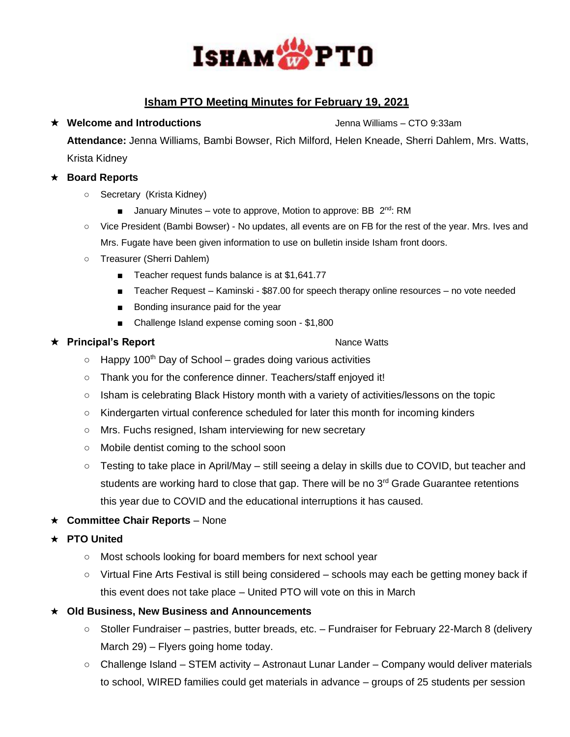

# **Isham PTO Meeting Minutes for February 19, 2021**

**Attendance:** Jenna Williams, Bambi Bowser, Rich Milford, Helen Kneade, Sherri Dahlem, Mrs. Watts, Krista Kidney

## ★ **Board Reports**

- Secretary (Krista Kidney)
	- January Minutes vote to approve, Motion to approve: BB 2<sup>nd</sup>: RM
- Vice President (Bambi Bowser) No updates, all events are on FB for the rest of the year. Mrs. Ives and Mrs. Fugate have been given information to use on bulletin inside Isham front doors.
- Treasurer (Sherri Dahlem)
	- Teacher request funds balance is at \$1,641.77
	- Teacher Request Kaminski \$87.00 for speech therapy online resources no vote needed
	- Bonding insurance paid for the year
	- Challenge Island expense coming soon \$1,800

### ★ **Principal's Report** 2000 and 2000 and 2000 and 2000 and 2000 and 2000 and 2000 and 2000 and 2000 and 2000 and 2000 and 2000 and 2000 and 2000 and 2000 and 2000 and 2000 and 2000 and 2000 and 2000 and 2000 and 2000 and

- $\circ$  Happy 100<sup>th</sup> Day of School grades doing various activities
- Thank you for the conference dinner. Teachers/staff enjoyed it!
- Isham is celebrating Black History month with a variety of activities/lessons on the topic
- Kindergarten virtual conference scheduled for later this month for incoming kinders
- Mrs. Fuchs resigned, Isham interviewing for new secretary
- Mobile dentist coming to the school soon
- Testing to take place in April/May still seeing a delay in skills due to COVID, but teacher and students are working hard to close that gap. There will be no  $3<sup>rd</sup>$  Grade Guarantee retentions this year due to COVID and the educational interruptions it has caused.
- ★ **Committee Chair Reports** None

### ★ **PTO United**

- Most schools looking for board members for next school year
- Virtual Fine Arts Festival is still being considered schools may each be getting money back if this event does not take place – United PTO will vote on this in March
- ★ **Old Business, New Business and Announcements**
	- Stoller Fundraiser pastries, butter breads, etc. Fundraiser for February 22-March 8 (delivery March 29) – Flyers going home today.
	- Challenge Island STEM activity Astronaut Lunar Lander Company would deliver materials to school, WIRED families could get materials in advance – groups of 25 students per session

### **★ Welcome and Introductions** and **Introductions** and Introductions and Introductions and Introductions and Introductions and Introductions and Introductions and Introductions and Introductions and Introductions and Inter